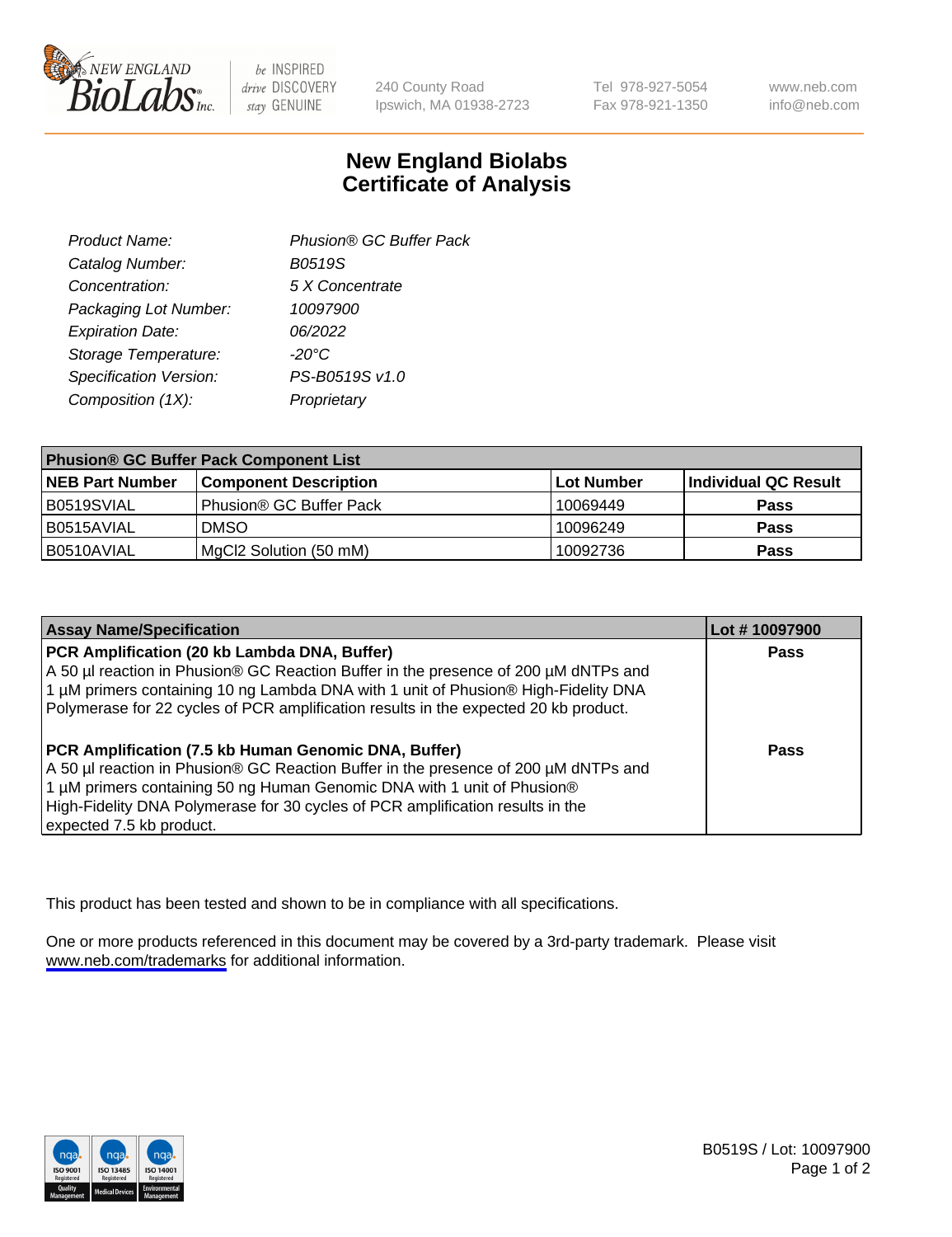

be INSPIRED drive DISCOVERY stay GENUINE

240 County Road Ipswich, MA 01938-2723 Tel 978-927-5054 Fax 978-921-1350

www.neb.com info@neb.com

## **New England Biolabs Certificate of Analysis**

| Product Name:           | Phusion® GC Buffer Pack |
|-------------------------|-------------------------|
| Catalog Number:         | B0519S                  |
| Concentration:          | 5 X Concentrate         |
| Packaging Lot Number:   | 10097900                |
| <b>Expiration Date:</b> | 06/2022                 |
| Storage Temperature:    | $-20^{\circ}$ C         |
| Specification Version:  | PS-B0519S v1.0          |
| Composition (1X):       | Proprietary             |
|                         |                         |

| <b>Phusion® GC Buffer Pack Component List</b> |                              |                   |                      |  |
|-----------------------------------------------|------------------------------|-------------------|----------------------|--|
| <b>NEB Part Number</b>                        | <b>Component Description</b> | <b>Lot Number</b> | Individual QC Result |  |
| B0519SVIAL                                    | Phusion® GC Buffer Pack      | 10069449          | <b>Pass</b>          |  |
| B0515AVIAL                                    | <b>DMSO</b>                  | 10096249          | <b>Pass</b>          |  |
| B0510AVIAL                                    | MgCl2 Solution (50 mM)       | 10092736          | <b>Pass</b>          |  |

| <b>Assay Name/Specification</b>                                                                                                                                                                                                                                                                                                      | Lot #10097900 |
|--------------------------------------------------------------------------------------------------------------------------------------------------------------------------------------------------------------------------------------------------------------------------------------------------------------------------------------|---------------|
| PCR Amplification (20 kb Lambda DNA, Buffer)<br>A 50 µl reaction in Phusion® GC Reaction Buffer in the presence of 200 µM dNTPs and<br>1 μM primers containing 10 ng Lambda DNA with 1 unit of Phusion® High-Fidelity DNA<br>Polymerase for 22 cycles of PCR amplification results in the expected 20 kb product.                    | <b>Pass</b>   |
| PCR Amplification (7.5 kb Human Genomic DNA, Buffer)<br>A 50 µl reaction in Phusion® GC Reaction Buffer in the presence of 200 µM dNTPs and<br>1 µM primers containing 50 ng Human Genomic DNA with 1 unit of Phusion®<br>High-Fidelity DNA Polymerase for 30 cycles of PCR amplification results in the<br>expected 7.5 kb product. | <b>Pass</b>   |

This product has been tested and shown to be in compliance with all specifications.

One or more products referenced in this document may be covered by a 3rd-party trademark. Please visit <www.neb.com/trademarks>for additional information.